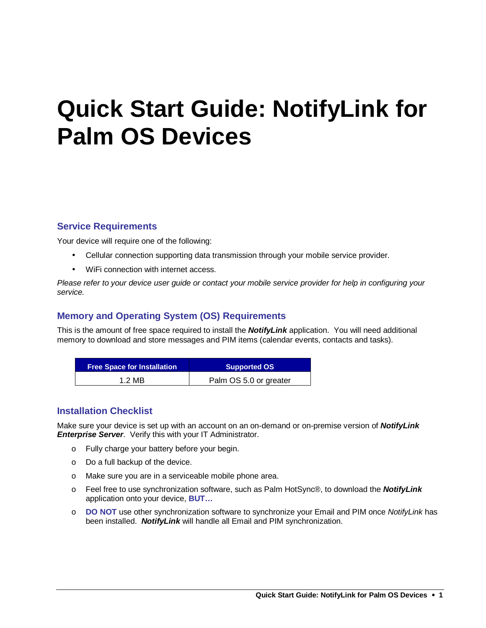## **Quick Start Guide: NotifyLink for Palm OS Devices**

#### **Service Requirements**

Your device will require one of the following:

- Cellular connection supporting data transmission through your mobile service provider.
- WiFi connection with internet access.

Please refer to your device user guide or contact your mobile service provider for help in configuring your service.

#### **Memory and Operating System (OS) Requirements**

This is the amount of free space required to install the **NotifyLink** application. You will need additional memory to download and store messages and PIM items (calendar events, contacts and tasks).

| <b>Free Space for Installation</b> | Supported OS           |
|------------------------------------|------------------------|
| 1.2 MB                             | Palm OS 5.0 or greater |

#### **Installation Checklist**

Make sure your device is set up with an account on an on-demand or on-premise version of **NotifyLink Enterprise Server.** Verify this with your IT Administrator.

- o Fully charge your battery before your begin.
- o Do a full backup of the device.
- o Make sure you are in a serviceable mobile phone area.
- o Feel free to use synchronization software, such as Palm HotSync®, to download the **NotifyLink** application onto your device, **BUT…**
- o **DO NOT** use other synchronization software to synchronize your Email and PIM once NotifyLink has been installed. **NotifyLink** will handle all Email and PIM synchronization.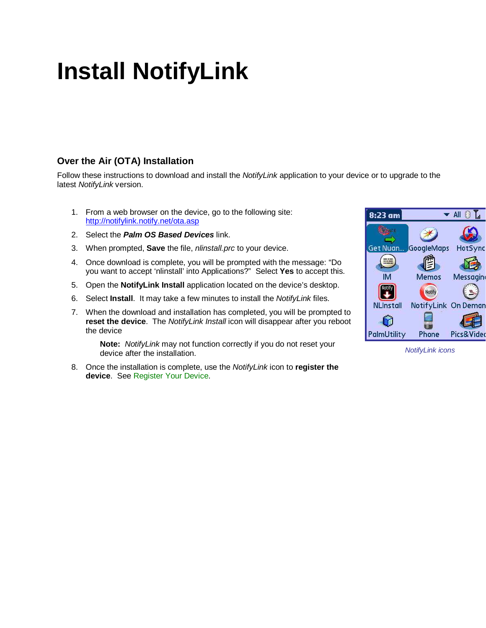## **Install NotifyLink**

#### **Over the Air (OTA) Installation**

Follow these instructions to download and install the *NotifyLink* application to your device or to upgrade to the latest NotifyLink version.

- 1. From a web browser on the device, go to the following site: http://notifylink.notify.net/ota.asp
- 2. Select the **Palm OS Based Devices** link.
- 3. When prompted, **Save** the file, nlinstall.prc to your device.
- 4. Once download is complete, you will be prompted with the message: "Do you want to accept 'nlinstall' into Applications?" Select **Yes** to accept this.
- 5. Open the **NotifyLink Install** application located on the device's desktop.
- 6. Select **Install**. It may take a few minutes to install the NotifyLink files.
- 7. When the download and installation has completed, you will be prompted to **reset the device**. The NotifyLink Install icon will disappear after you reboot the device

**Note:** NotifyLink may not function correctly if you do not reset your device after the installation.

8. Once the installation is complete, use the NotifyLink icon to **register the device**. See Register Your Device.



NotifyLink icons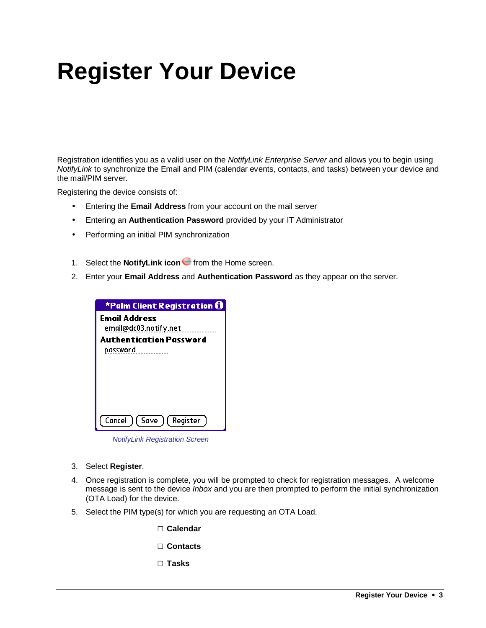# **Register Your Device**

Registration identifies you as a valid user on the NotifyLink Enterprise Server and allows you to begin using NotifyLink to synchronize the Email and PIM (calendar events, contacts, and tasks) between your device and the mail/PIM server.

Registering the device consists of:

- Entering the **Email Address** from your account on the mail server
- Entering an **Authentication Password** provided by your IT Administrator
- Performing an initial PIM synchronization
- 1. Select the **NotifyLink icon G** from the Home screen.
- 2. Enter your **Email Address** and **Authentication Password** as they appear on the server.

| *Palm Client Registration $\boldsymbol{\Theta}$                          |
|--------------------------------------------------------------------------|
| <b>Email Address</b><br>email@dc03.notify.net<br>Authentication Password |
| password                                                                 |
|                                                                          |
|                                                                          |
|                                                                          |
| G<br>$\lceil$ Register                                                   |

NotifyLink Registration Screen

- 3. Select **Register**.
- 4. Once registration is complete, you will be prompted to check for registration messages. A welcome message is sent to the device Inbox and you are then prompted to perform the initial synchronization (OTA Load) for the device.
- 5. Select the PIM type(s) for which you are requesting an OTA Load.

□ **Calendar**

- □ **Contacts**
- □ **Tasks**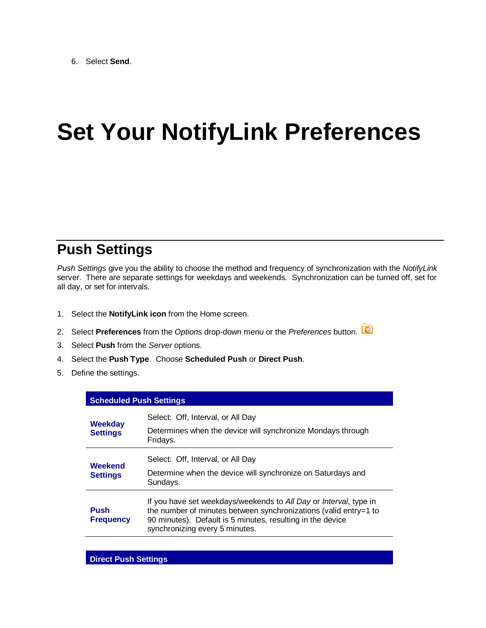## **Set Your NotifyLink Preferences**

### **Push Settings**

Push Settings give you the ability to choose the method and frequency of synchronization with the NotifyLink server. There are separate settings for weekdays and weekends. Synchronization can be turned off, set for all day, or set for intervals.

- 1. Select the **NotifyLink icon** from the Home screen.
- 2. Select **Preferences** from the Options drop-down menu or the Preferences button.
- 3. Select **Push** from the Server options.
- 4. Select the **Push Type**. Choose **Scheduled Push** or **Direct Push**.
- 5. Define the settings.

| <b>Scheduled Push Settings</b>    |                                                                                                                                                                                                                                       |
|-----------------------------------|---------------------------------------------------------------------------------------------------------------------------------------------------------------------------------------------------------------------------------------|
| <b>Weekday</b><br><b>Settings</b> | Select: Off, Interval, or All Day                                                                                                                                                                                                     |
|                                   | Determines when the device will synchronize Mondays through<br>Fridays.                                                                                                                                                               |
| Weekend<br><b>Settings</b>        | Select: Off, Interval, or All Day                                                                                                                                                                                                     |
|                                   | Determine when the device will synchronize on Saturdays and<br>Sundays.                                                                                                                                                               |
| <b>Push</b><br><b>Frequency</b>   | If you have set weekdays/weekends to All Day or Interval, type in<br>the number of minutes between synchronizations (valid entry=1 to<br>90 minutes). Default is 5 minutes, resulting in the device<br>synchronizing every 5 minutes. |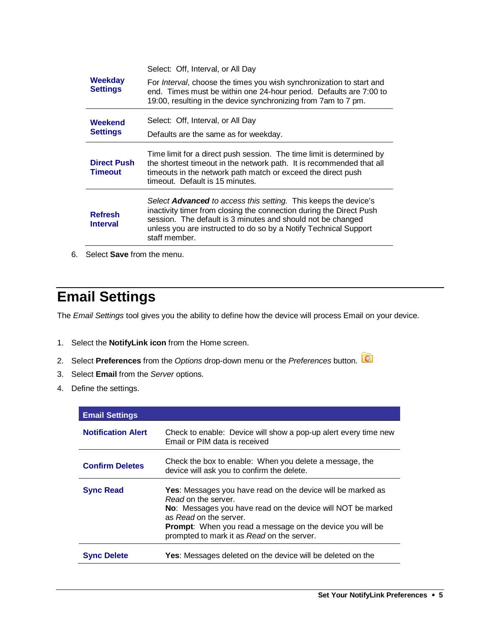|                                       | Select: Off, Interval, or All Day                                                                                                                                                                                                                                                                 |
|---------------------------------------|---------------------------------------------------------------------------------------------------------------------------------------------------------------------------------------------------------------------------------------------------------------------------------------------------|
| Weekday<br><b>Settings</b><br>Weekend | For <i>Interval</i> , choose the times you wish synchronization to start and<br>end. Times must be within one 24-hour period. Defaults are 7:00 to<br>19:00, resulting in the device synchronizing from 7am to 7 pm.                                                                              |
|                                       | Select: Off, Interval, or All Day                                                                                                                                                                                                                                                                 |
| <b>Settings</b>                       | Defaults are the same as for weekday.                                                                                                                                                                                                                                                             |
| <b>Direct Push</b><br><b>Timeout</b>  | Time limit for a direct push session. The time limit is determined by<br>the shortest timeout in the network path. It is recommended that all<br>timeouts in the network path match or exceed the direct push<br>timeout. Default is 15 minutes.                                                  |
| <b>Refresh</b><br><b>Interval</b>     | Select <b>Advanced</b> to access this setting. This keeps the device's<br>inactivity timer from closing the connection during the Direct Push<br>session. The default is 3 minutes and should not be changed<br>unless you are instructed to do so by a Notify Technical Support<br>staff member. |
|                                       |                                                                                                                                                                                                                                                                                                   |

6. Select **Save** from the menu.

### **Email Settings**

The Email Settings tool gives you the ability to define how the device will process Email on your device.

- 1. Select the **NotifyLink icon** from the Home screen.
- 2. Select **Preferences** from the Options drop-down menu or the Preferences button.
- 3. Select **Email** from the Server options.
- 4. Define the settings.

| <b>Email Settings</b>     |                                                                                                                                                                                                                                                                                                      |
|---------------------------|------------------------------------------------------------------------------------------------------------------------------------------------------------------------------------------------------------------------------------------------------------------------------------------------------|
| <b>Notification Alert</b> | Check to enable: Device will show a pop-up alert every time new<br>Email or PIM data is received                                                                                                                                                                                                     |
| <b>Confirm Deletes</b>    | Check the box to enable: When you delete a message, the<br>device will ask you to confirm the delete.                                                                                                                                                                                                |
| <b>Sync Read</b>          | <b>Yes:</b> Messages you have read on the device will be marked as<br>Read on the server.<br>No: Messages you have read on the device will NOT be marked<br>as Read on the server.<br><b>Prompt:</b> When you read a message on the device you will be<br>prompted to mark it as Read on the server. |
| <b>Sync Delete</b>        | <b>Yes:</b> Messages deleted on the device will be deleted on the                                                                                                                                                                                                                                    |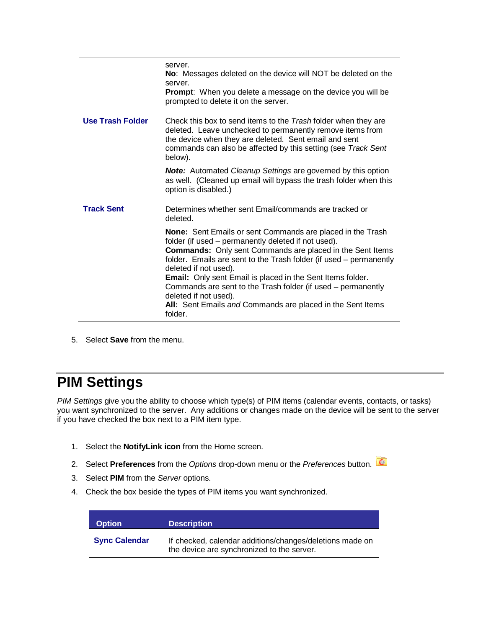|                         | server.<br>No: Messages deleted on the device will NOT be deleted on the<br>server.<br><b>Prompt:</b> When you delete a message on the device you will be<br>prompted to delete it on the server.                                                                                                                                                                                                                                                                                                                                  |
|-------------------------|------------------------------------------------------------------------------------------------------------------------------------------------------------------------------------------------------------------------------------------------------------------------------------------------------------------------------------------------------------------------------------------------------------------------------------------------------------------------------------------------------------------------------------|
| <b>Use Trash Folder</b> | Check this box to send items to the Trash folder when they are<br>deleted. Leave unchecked to permanently remove items from<br>the device when they are deleted. Sent email and sent<br>commands can also be affected by this setting (see Track Sent<br>below).                                                                                                                                                                                                                                                                   |
|                         | <b>Note:</b> Automated Cleanup Settings are governed by this option<br>as well. (Cleaned up email will bypass the trash folder when this<br>option is disabled.)                                                                                                                                                                                                                                                                                                                                                                   |
| <b>Track Sent</b>       | Determines whether sent Email/commands are tracked or<br>deleted.                                                                                                                                                                                                                                                                                                                                                                                                                                                                  |
|                         | <b>None:</b> Sent Emails or sent Commands are placed in the Trash<br>folder (if used – permanently deleted if not used).<br><b>Commands:</b> Only sent Commands are placed in the Sent Items<br>folder. Emails are sent to the Trash folder (if used – permanently<br>deleted if not used).<br><b>Email:</b> Only sent Email is placed in the Sent Items folder.<br>Commands are sent to the Trash folder (if used – permanently<br>deleted if not used).<br>All: Sent Emails and Commands are placed in the Sent Items<br>folder. |

5. Select **Save** from the menu.

### **PIM Settings**

PIM Settings give you the ability to choose which type(s) of PIM items (calendar events, contacts, or tasks) you want synchronized to the server. Any additions or changes made on the device will be sent to the server if you have checked the box next to a PIM item type.

- 1. Select the **NotifyLink icon** from the Home screen.
- 2. Select **Preferences** from the Options drop-down menu or the Preferences button.
- 3. Select **PIM** from the Server options.
- 4. Check the box beside the types of PIM items you want synchronized.

| <b>Option</b>        | <b>Description</b>                                                                                     |
|----------------------|--------------------------------------------------------------------------------------------------------|
| <b>Sync Calendar</b> | If checked, calendar additions/changes/deletions made on<br>the device are synchronized to the server. |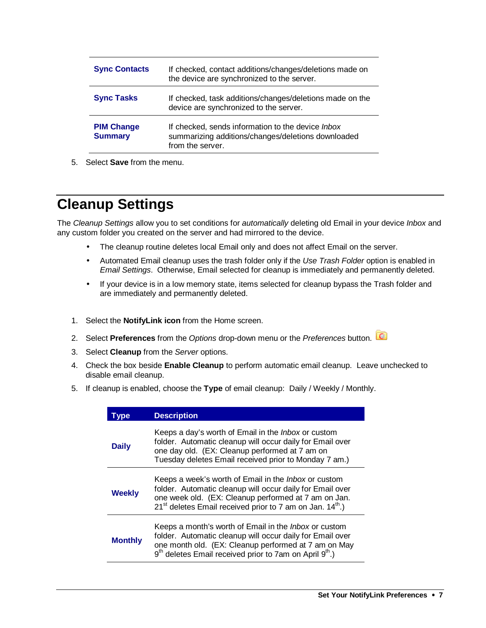| <b>Sync Contacts</b>                | If checked, contact additions/changes/deletions made on<br>the device are synchronized to the server.                              |
|-------------------------------------|------------------------------------------------------------------------------------------------------------------------------------|
| <b>Sync Tasks</b>                   | If checked, task additions/changes/deletions made on the<br>device are synchronized to the server.                                 |
| <b>PIM Change</b><br><b>Summary</b> | If checked, sends information to the device <i>Inbox</i><br>summarizing additions/changes/deletions downloaded<br>from the server. |

5. Select **Save** from the menu.

### **Cleanup Settings**

The Cleanup Settings allow you to set conditions for automatically deleting old Email in your device Inbox and any custom folder you created on the server and had mirrored to the device.

- The cleanup routine deletes local Email only and does not affect Email on the server.
- Automated Email cleanup uses the trash folder only if the Use Trash Folder option is enabled in Email Settings. Otherwise, Email selected for cleanup is immediately and permanently deleted.
- If your device is in a low memory state, items selected for cleanup bypass the Trash folder and are immediately and permanently deleted.
- 1. Select the **NotifyLink icon** from the Home screen.
- 2. Select **Preferences** from the Options drop-down menu or the Preferences button.
- 3. Select **Cleanup** from the Server options.
- 4. Check the box beside **Enable Cleanup** to perform automatic email cleanup. Leave unchecked to disable email cleanup.
- 5. If cleanup is enabled, choose the **Type** of email cleanup: Daily / Weekly / Monthly.

| <b>vpe</b>     | <b>Description</b>                                                                                                                                                                                                                                                   |
|----------------|----------------------------------------------------------------------------------------------------------------------------------------------------------------------------------------------------------------------------------------------------------------------|
| <b>Daily</b>   | Keeps a day's worth of Email in the <i>Inbox</i> or custom<br>folder. Automatic cleanup will occur daily for Email over<br>one day old. (EX: Cleanup performed at 7 am on<br>Tuesday deletes Email received prior to Monday 7 am.)                                   |
| <b>Weekly</b>  | Keeps a week's worth of Email in the <i>Inbox</i> or custom<br>folder. Automatic cleanup will occur daily for Email over<br>one week old. (EX: Cleanup performed at 7 am on Jan.<br>$21st$ deletes Email received prior to 7 am on Jan. $14th$ .)                    |
| <b>Monthly</b> | Keeps a month's worth of Email in the <i>Inbox</i> or custom<br>folder. Automatic cleanup will occur daily for Email over<br>one month old. (EX: Cleanup performed at 7 am on May<br>9 <sup>th</sup> deletes Email received prior to 7am on April 9 <sup>th</sup> .) |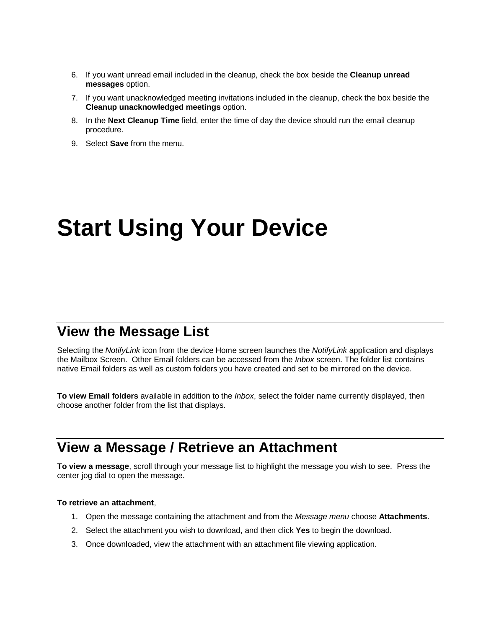- 6. If you want unread email included in the cleanup, check the box beside the **Cleanup unread messages** option.
- 7. If you want unacknowledged meeting invitations included in the cleanup, check the box beside the **Cleanup unacknowledged meetings** option.
- 8. In the **Next Cleanup Time** field, enter the time of day the device should run the email cleanup procedure.
- 9. Select **Save** from the menu.

## **Start Using Your Device**

#### **View the Message List**

Selecting the NotifyLink icon from the device Home screen launches the NotifyLink application and displays the Mailbox Screen. Other Email folders can be accessed from the *Inbox* screen. The folder list contains native Email folders as well as custom folders you have created and set to be mirrored on the device.

**To view Email folders** available in addition to the Inbox, select the folder name currently displayed, then choose another folder from the list that displays.

#### **View a Message / Retrieve an Attachment**

**To view a message**, scroll through your message list to highlight the message you wish to see. Press the center jog dial to open the message.

#### **To retrieve an attachment**,

- 1. Open the message containing the attachment and from the Message menu choose **Attachments**.
- 2. Select the attachment you wish to download, and then click **Yes** to begin the download.
- 3. Once downloaded, view the attachment with an attachment file viewing application.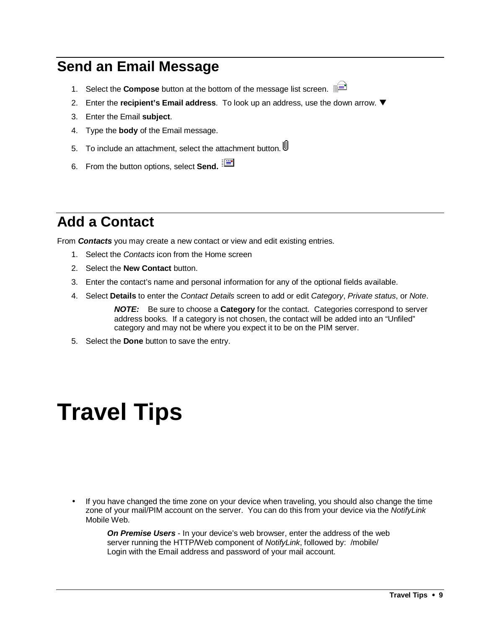#### **Send an Email Message**

- 1. Select the **Compose** button at the bottom of the message list screen.
- 2. Enter the **recipient's Email address**. To look up an address, use the down arrow.
- 3. Enter the Email **subject**.
- 4. Type the **body** of the Email message.
- 5. To include an attachment, select the attachment button.
- 6. From the button options, select **Send.**

### **Add a Contact**

From **Contacts** you may create a new contact or view and edit existing entries.

- 1. Select the Contacts icon from the Home screen
- 2. Select the **New Contact** button.
- 3. Enter the contact's name and personal information for any of the optional fields available.
- 4. Select **Details** to enter the Contact Details screen to add or edit Category, Private status, or Note.

**NOTE:** Be sure to choose a **Category** for the contact. Categories correspond to server address books. If a category is not chosen, the contact will be added into an "Unfiled" category and may not be where you expect it to be on the PIM server.

5. Select the **Done** button to save the entry.

### **Travel Tips**

• If you have changed the time zone on your device when traveling, you should also change the time zone of your mail/PIM account on the server. You can do this from your device via the NotifyLink Mobile Web.

**On Premise Users** - In your device's web browser, enter the address of the web server running the HTTP/Web component of NotifyLink, followed by: /mobile/ Login with the Email address and password of your mail account.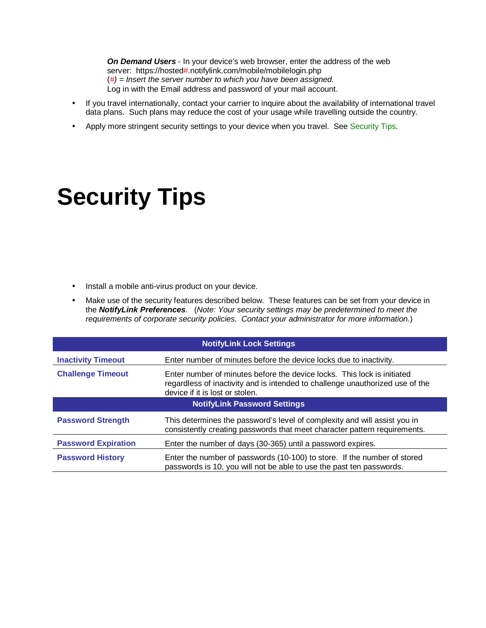**On Demand Users** - In your device's web browser, enter the address of the web server: https://hosted#.notifylink.com/mobile/mobilelogin.php  $(\#)$  = Insert the server number to which you have been assigned. Log in with the Email address and password of your mail account.

- If you travel internationally, contact your carrier to inquire about the availability of international travel data plans. Such plans may reduce the cost of your usage while travelling outside the country.
- Apply more stringent security settings to your device when you travel. See Security Tips.

## **Security Tips**

- Install a mobile anti-virus product on your device.
- Make use of the security features described below. These features can be set from your device in the **NotifyLink Preferences**. (Note: Your security settings may be predetermined to meet the requirements of corporate security policies. Contact your administrator for more information.)

| <b>NotifyLink Lock Settings</b>     |                                                                                                                                                                                             |
|-------------------------------------|---------------------------------------------------------------------------------------------------------------------------------------------------------------------------------------------|
| <b>Inactivity Timeout</b>           | Enter number of minutes before the device locks due to inactivity.                                                                                                                          |
| <b>Challenge Timeout</b>            | Enter number of minutes before the device locks. This lock is initiated<br>regardless of inactivity and is intended to challenge unauthorized use of the<br>device if it is lost or stolen. |
| <b>NotifyLink Password Settings</b> |                                                                                                                                                                                             |
| <b>Password Strength</b>            | This determines the password's level of complexity and will assist you in<br>consistently creating passwords that meet character pattern requirements.                                      |
| <b>Password Expiration</b>          | Enter the number of days (30-365) until a password expires.                                                                                                                                 |
| <b>Password History</b>             | Enter the number of passwords (10-100) to store. If the number of stored<br>passwords is 10, you will not be able to use the past ten passwords.                                            |